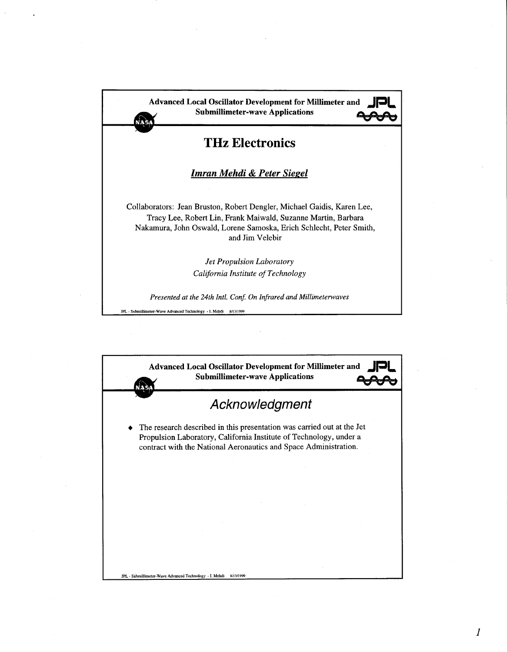

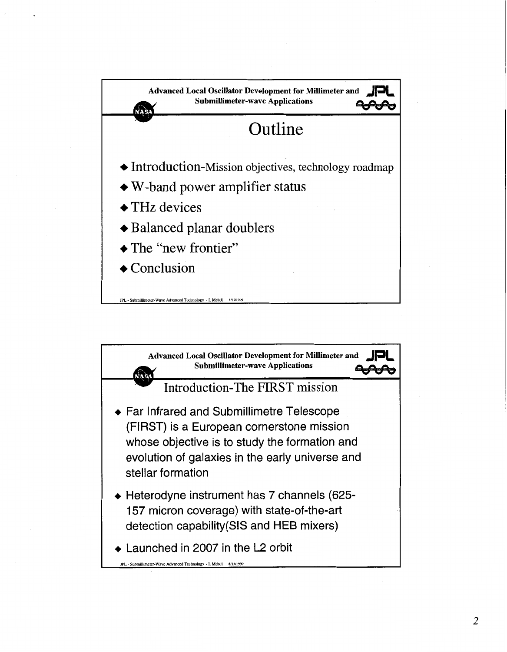

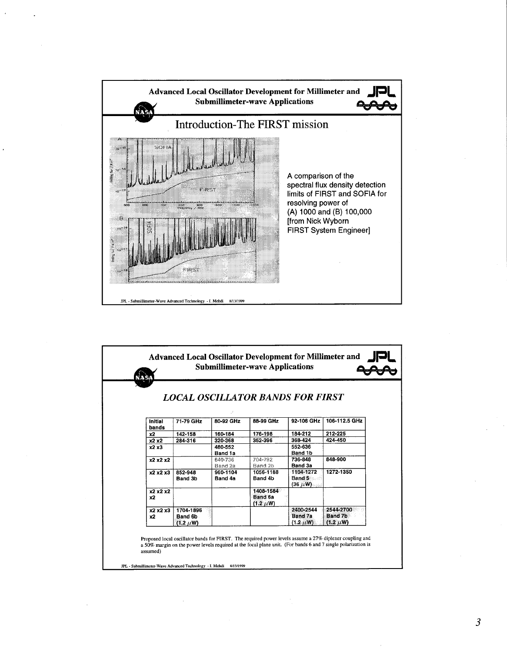

|                  | LOCAL OSCILLATOR BANDS FOR FIRST      |                     |                                         |                                         |                                              |  |
|------------------|---------------------------------------|---------------------|-----------------------------------------|-----------------------------------------|----------------------------------------------|--|
|                  |                                       |                     |                                         |                                         |                                              |  |
| Initial<br>bands | 71-79 GHz                             | 80-92 GHz           | 88-99 GHz                               | 92-106 GHz                              | 106-112.5 GHz                                |  |
| x2               | 142-158                               | 160-184             | 176-198                                 | 184-212                                 | 212-225                                      |  |
| x2 x2            | 284-316                               | 320-368             | 352-396                                 | 368-424                                 | 424-450                                      |  |
| x2x3             |                                       | 480-552<br>Band 1a  |                                         | 552-636<br>Band 1b                      |                                              |  |
| x2x2x2           |                                       | 640-736<br>Band 2a  | 704-792<br>Band 2b                      | 736-848<br>Band 3a                      | 848-900                                      |  |
| x2 x2 x3         | 852-948<br>Band 3b                    | 960-1104<br>Band 4a | 1056-1188<br>Band 4b                    | 1104-1272<br>Band 5<br>$(36 \mu W)$     | 1272-1350                                    |  |
| x2 x2 x2<br>x2   |                                       |                     | 1408-1584<br>Band 6a<br>$(1.2 \ \mu W)$ |                                         |                                              |  |
| x2 x2 x3<br>x2   | 1704-1896<br>Band 6b<br>$(1.2 \mu W)$ |                     |                                         | 2400-2544<br>Band 7a<br>$(1.2 \ \mu W)$ | 2544-2700<br><b>Band 7b</b><br>$(1.2 \mu W)$ |  |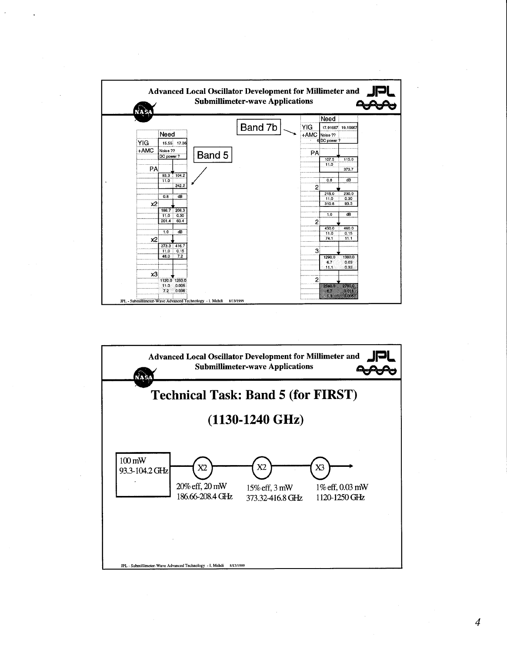



*4*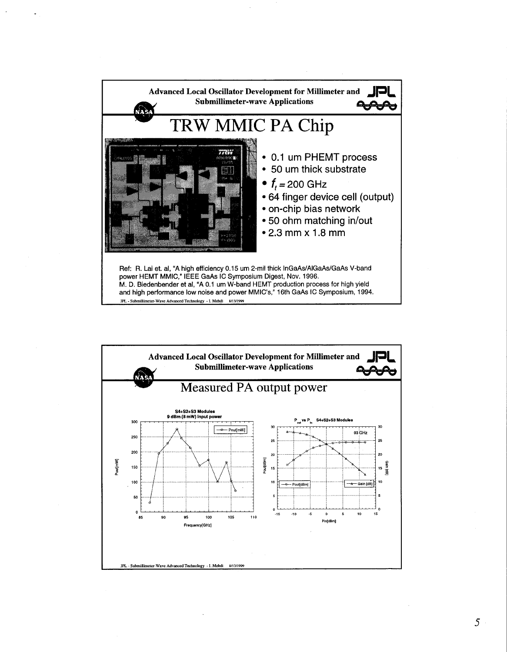



*5*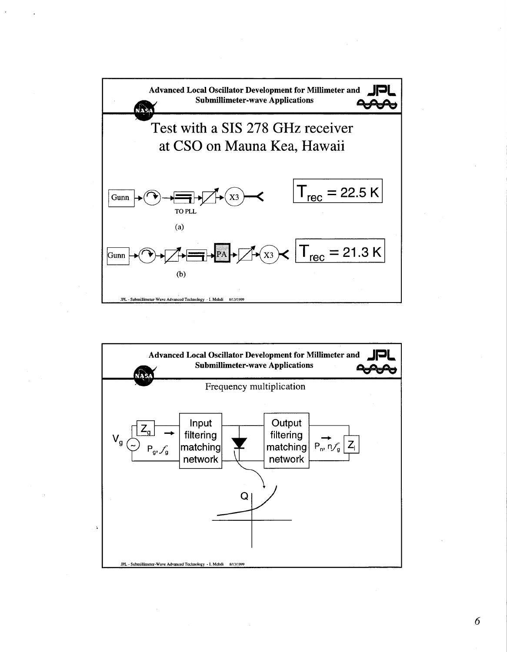

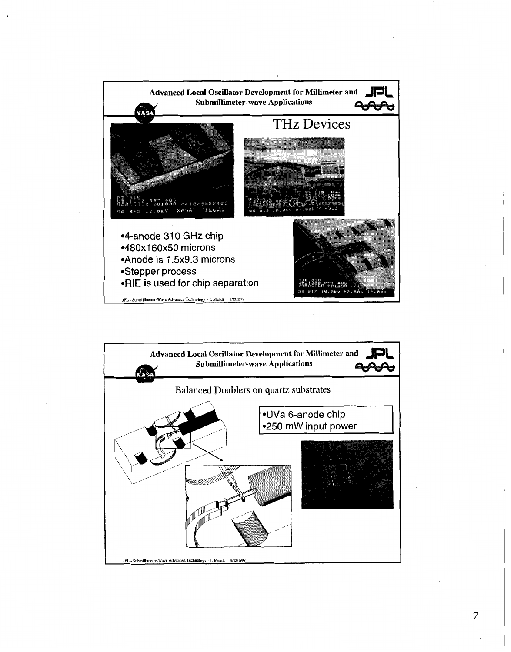

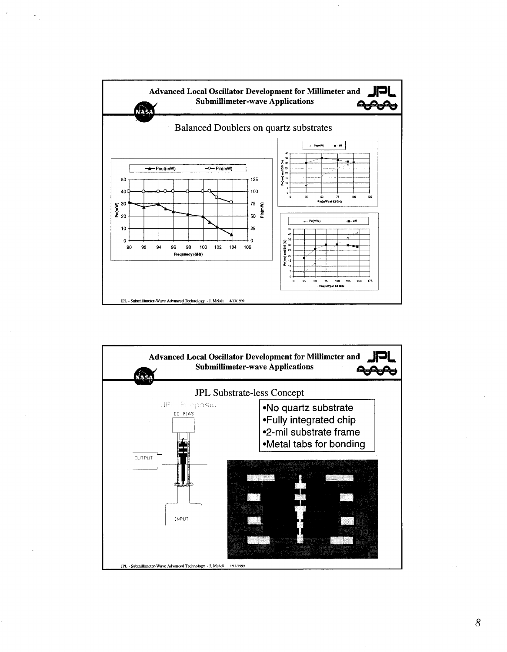

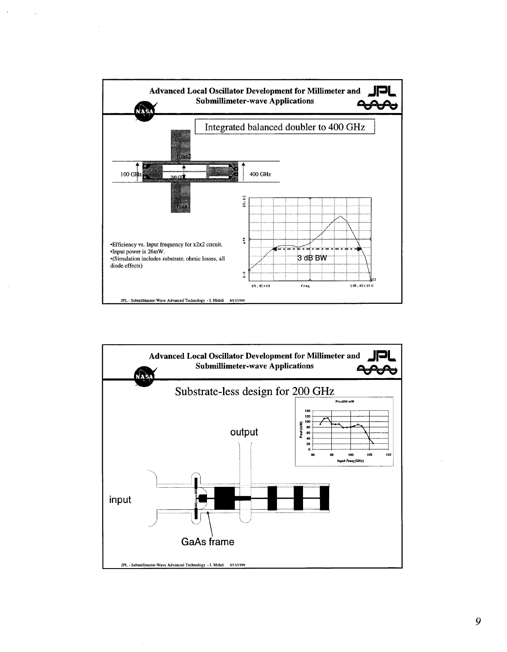